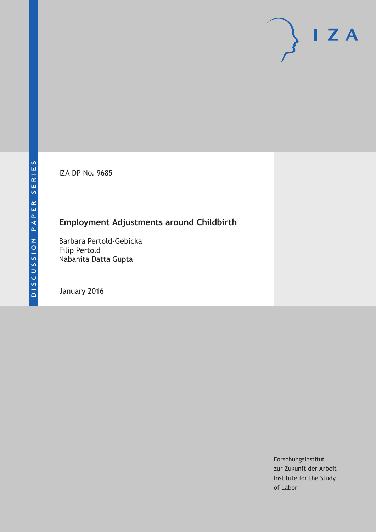IZA DP No. 9685

# **Employment Adjustments around Childbirth**

Barbara Pertold-Gebicka Filip Pertold Nabanita Datta Gupta

January 2016

Forschungsinstitut zur Zukunft der Arbeit Institute for the Study of Labor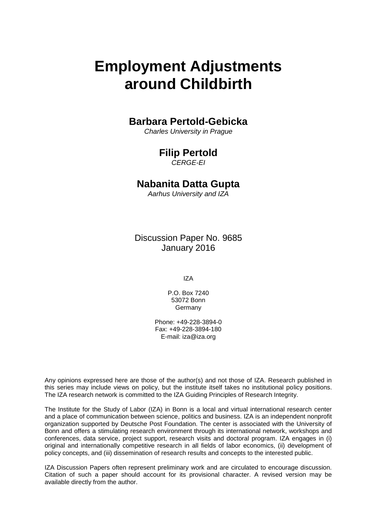# **Employment Adjustments around Childbirth**

# **Barbara Pertold-Gebicka**

*Charles University in Prague*

# **Filip Pertold**

*CERGE-EI*

# **Nabanita Datta Gupta**

*Aarhus University and IZA*

Discussion Paper No. 9685 January 2016

IZA

P.O. Box 7240 53072 Bonn Germany

Phone: +49-228-3894-0 Fax: +49-228-3894-180 E-mail: iza@iza.org

Any opinions expressed here are those of the author(s) and not those of IZA. Research published in this series may include views on policy, but the institute itself takes no institutional policy positions. The IZA research network is committed to the IZA Guiding Principles of Research Integrity.

The Institute for the Study of Labor (IZA) in Bonn is a local and virtual international research center and a place of communication between science, politics and business. IZA is an independent nonprofit organization supported by Deutsche Post Foundation. The center is associated with the University of Bonn and offers a stimulating research environment through its international network, workshops and conferences, data service, project support, research visits and doctoral program. IZA engages in (i) original and internationally competitive research in all fields of labor economics, (ii) development of policy concepts, and (iii) dissemination of research results and concepts to the interested public.

IZA Discussion Papers often represent preliminary work and are circulated to encourage discussion. Citation of such a paper should account for its provisional character. A revised version may be available directly from the author.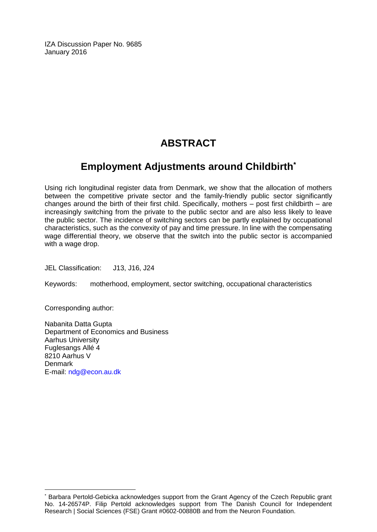IZA Discussion Paper No. 9685 January 2016

# **ABSTRACT**

# **Employment Adjustments around Childbirth\***

Using rich longitudinal register data from Denmark, we show that the allocation of mothers between the competitive private sector and the family-friendly public sector significantly changes around the birth of their first child. Specifically, mothers – post first childbirth – are increasingly switching from the private to the public sector and are also less likely to leave the public sector. The incidence of switching sectors can be partly explained by occupational characteristics, such as the convexity of pay and time pressure. In line with the compensating wage differential theory, we observe that the switch into the public sector is accompanied with a wage drop.

JEL Classification: J13, J16, J24

Keywords: motherhood, employment, sector switching, occupational characteristics

Corresponding author:

 $\overline{a}$ 

Nabanita Datta Gupta Department of Economics and Business Aarhus University Fuglesangs Allé 4 8210 Aarhus V Denmark E-mail: [ndg@econ.au.dk](mailto:ndg@econ.au.dk)

<sup>\*</sup> Barbara Pertold-Gebicka acknowledges support from the Grant Agency of the Czech Republic grant No. 14-26574P. Filip Pertold acknowledges support from The Danish Council for Independent Research | Social Sciences (FSE) Grant #0602-00880B and from the Neuron Foundation.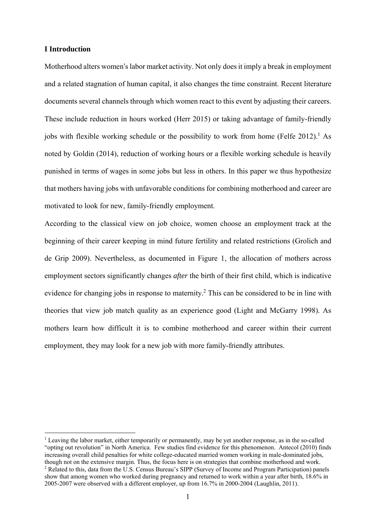### **I Introduction**

 $\overline{\phantom{a}}$ 

Motherhood alters women's labor market activity. Not only does it imply a break in employment and a related stagnation of human capital, it also changes the time constraint. Recent literature documents several channels through which women react to this event by adjusting their careers. These include reduction in hours worked (Herr 2015) or taking advantage of family-friendly jobs with flexible working schedule or the possibility to work from home (Felfe  $2012$ ).<sup>1</sup> As noted by Goldin (2014), reduction of working hours or a flexible working schedule is heavily punished in terms of wages in some jobs but less in others. In this paper we thus hypothesize that mothers having jobs with unfavorable conditions for combining motherhood and career are motivated to look for new, family-friendly employment.

According to the classical view on job choice, women choose an employment track at the beginning of their career keeping in mind future fertility and related restrictions (Grolich and de Grip 2009). Nevertheless, as documented in Figure 1, the allocation of mothers across employment sectors significantly changes *after* the birth of their first child, which is indicative evidence for changing jobs in response to maternity.<sup>2</sup> This can be considered to be in line with theories that view job match quality as an experience good (Light and McGarry 1998). As mothers learn how difficult it is to combine motherhood and career within their current employment, they may look for a new job with more family-friendly attributes.

<sup>&</sup>lt;sup>1</sup> Leaving the labor market, either temporarily or permanently, may be yet another response, as in the so-called "opting out revolution" in North America. Few studies find evidence for this phenomenon. Antecol (2010) finds increasing overall child penalties for white college-educated married women working in male-dominated jobs, though not on the extensive margin. Thus, the focus here is on strategies that combine motherhood and work. <sup>2</sup> Related to this, data from the U.S. Census Bureau's SIPP (Survey of Income and Program Participation) panels show that among women who worked during pregnancy and returned to work within a year after birth, 18.6% in 2005-2007 were observed with a different employer, up from 16.7% in 2000-2004 (Laughlin, 2011).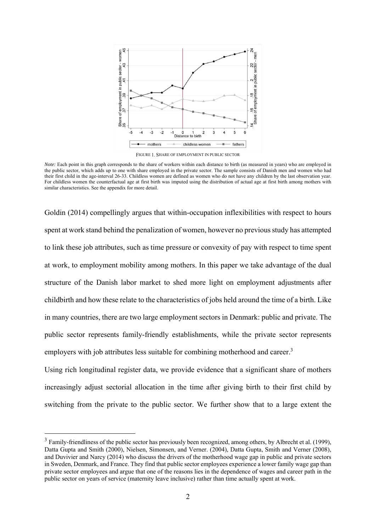

FIGURE 1. SHARE OF EMPLOYMENT IN PUBLIC SECTOR

*Note:* Each point in this graph corresponds to the share of workers within each distance to birth (as measured in years) who are employed in the public sector, which adds up to one with share employed in the private sector. The sample consists of Danish men and women who had their first child in the age-interval 26-33. Childless women are defined as women who do not have any children by the last observation year. For childless women the counterfactual age at first birth was imputed using the distribution of actual age at first birth among mothers with similar characteristics. See the appendix for more detail.

Goldin (2014) compellingly argues that within-occupation inflexibilities with respect to hours spent at work stand behind the penalization of women, however no previous study has attempted to link these job attributes, such as time pressure or convexity of pay with respect to time spent at work, to employment mobility among mothers. In this paper we take advantage of the dual structure of the Danish labor market to shed more light on employment adjustments after childbirth and how these relate to the characteristics of jobs held around the time of a birth. Like in many countries, there are two large employment sectors in Denmark: public and private. The public sector represents family-friendly establishments, while the private sector represents employers with job attributes less suitable for combining motherhood and career.<sup>3</sup>

Using rich longitudinal register data, we provide evidence that a significant share of mothers increasingly adjust sectorial allocation in the time after giving birth to their first child by switching from the private to the public sector. We further show that to a large extent the

 $\overline{\phantom{a}}$ 

<sup>&</sup>lt;sup>3</sup> Family-friendliness of the public sector has previously been recognized, among others, by Albrecht et al. (1999), Datta Gupta and Smith (2000), Nielsen, Simonsen, and Verner. (2004), Datta Gupta, Smith and Verner (2008), and Duvivier and Narcy (2014) who discuss the drivers of the motherhood wage gap in public and private sectors in Sweden, Denmark, and France. They find that public sector employees experience a lower family wage gap than private sector employees and argue that one of the reasons lies in the dependence of wages and career path in the public sector on years of service (maternity leave inclusive) rather than time actually spent at work.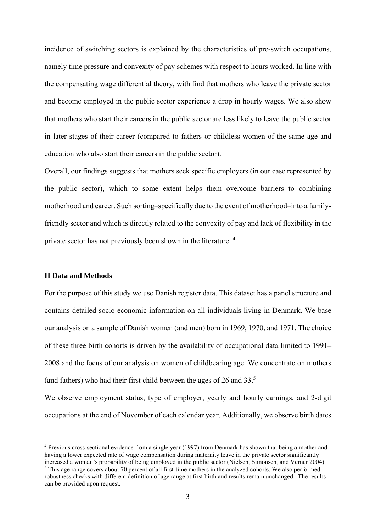incidence of switching sectors is explained by the characteristics of pre-switch occupations, namely time pressure and convexity of pay schemes with respect to hours worked. In line with the compensating wage differential theory, with find that mothers who leave the private sector and become employed in the public sector experience a drop in hourly wages. We also show that mothers who start their careers in the public sector are less likely to leave the public sector in later stages of their career (compared to fathers or childless women of the same age and education who also start their careers in the public sector).

Overall, our findings suggests that mothers seek specific employers (in our case represented by the public sector), which to some extent helps them overcome barriers to combining motherhood and career. Such sorting–specifically due to the event of motherhood–into a familyfriendly sector and which is directly related to the convexity of pay and lack of flexibility in the private sector has not previously been shown in the literature. 4

## **II Data and Methods**

 $\overline{\phantom{a}}$ 

For the purpose of this study we use Danish register data. This dataset has a panel structure and contains detailed socio-economic information on all individuals living in Denmark. We base our analysis on a sample of Danish women (and men) born in 1969, 1970, and 1971. The choice of these three birth cohorts is driven by the availability of occupational data limited to 1991– 2008 and the focus of our analysis on women of childbearing age. We concentrate on mothers (and fathers) who had their first child between the ages of 26 and 33.5

We observe employment status, type of employer, yearly and hourly earnings, and 2-digit occupations at the end of November of each calendar year. Additionally, we observe birth dates

<sup>&</sup>lt;sup>4</sup> Previous cross-sectional evidence from a single year (1997) from Denmark has shown that being a mother and having a lower expected rate of wage compensation during maternity leave in the private sector significantly increased a woman's probability of being employed in the public sector (Nielsen, Simonsen, and Verner 2004).

<sup>&</sup>lt;sup>5</sup> This age range covers about 70 percent of all first-time mothers in the analyzed cohorts. We also performed robustness checks with different definition of age range at first birth and results remain unchanged. The results can be provided upon request.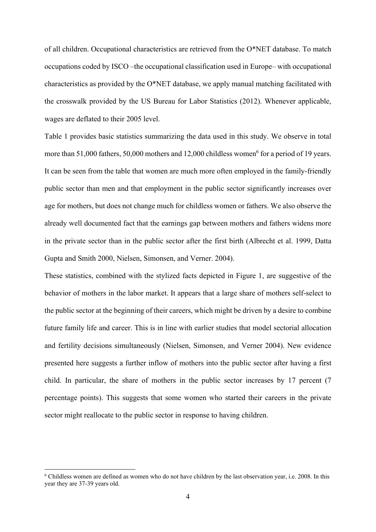of all children. Occupational characteristics are retrieved from the O\*NET database. To match occupations coded by ISCO –the occupational classification used in Europe– with occupational characteristics as provided by the O\*NET database, we apply manual matching facilitated with the crosswalk provided by the US Bureau for Labor Statistics (2012). Whenever applicable, wages are deflated to their 2005 level.

Table 1 provides basic statistics summarizing the data used in this study. We observe in total more than 51,000 fathers, 50,000 mothers and  $12,000$  childless women<sup>6</sup> for a period of 19 years. It can be seen from the table that women are much more often employed in the family-friendly public sector than men and that employment in the public sector significantly increases over age for mothers, but does not change much for childless women or fathers. We also observe the already well documented fact that the earnings gap between mothers and fathers widens more in the private sector than in the public sector after the first birth (Albrecht et al. 1999, Datta Gupta and Smith 2000, Nielsen, Simonsen, and Verner. 2004).

These statistics, combined with the stylized facts depicted in Figure 1, are suggestive of the behavior of mothers in the labor market. It appears that a large share of mothers self-select to the public sector at the beginning of their careers, which might be driven by a desire to combine future family life and career. This is in line with earlier studies that model sectorial allocation and fertility decisions simultaneously (Nielsen, Simonsen, and Verner 2004). New evidence presented here suggests a further inflow of mothers into the public sector after having a first child. In particular, the share of mothers in the public sector increases by 17 percent (7 percentage points). This suggests that some women who started their careers in the private sector might reallocate to the public sector in response to having children.

 $\overline{a}$ 

<sup>&</sup>lt;sup>6</sup> Childless women are defined as women who do not have children by the last observation year, i.e. 2008. In this year they are 37-39 years old.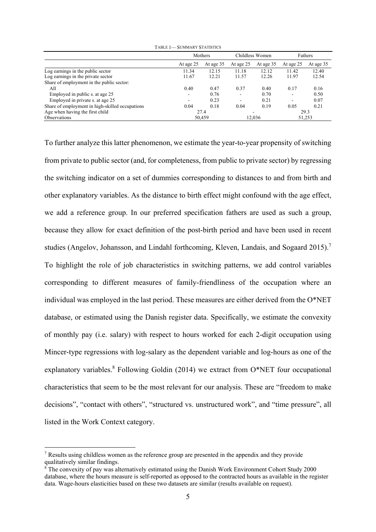|                                                 | $1$ ADEL $1$ $\rightarrow$ $3$ UNINIAR $1$ , $31$ A11911C <sub>9</sub> |           |           |                 |           |           |
|-------------------------------------------------|------------------------------------------------------------------------|-----------|-----------|-----------------|-----------|-----------|
|                                                 |                                                                        | Mothers   |           | Childless Women | Fathers   |           |
|                                                 | At age 25                                                              | At age 35 | At age 25 | At age 35       | At age 25 | At age 35 |
| Log earnings in the public sector               | 11.34                                                                  | 12.15     | 11.18     | 12.12           | 11.42     | 12.40     |
| Log earnings in the private sector              | 11.67                                                                  | 12.21     | 11.57     | 12.26           | 11.97     | 12.54     |
| Share of employment in the public sector:       |                                                                        |           |           |                 |           |           |
| All                                             | 0.40                                                                   | 0.47      | 0.37      | 0.40            | 0.17      | 0.16      |
| Employed in public s. at age 25                 | $\overline{\phantom{a}}$                                               | 0.76      | ۰         | 0.70            | ۰         | 0.50      |
| Employed in private s. at age 25                |                                                                        | 0.23      |           | 0.21            | ۰         | 0.07      |
| Share of employment in high-skilled occupations | 0.04                                                                   | 0.18      | 0.04      | 0.19            | 0.05      | 0.21      |
| Age when having the first child                 |                                                                        | 27.4      |           | -               |           | 29.3      |
| <b>Observations</b>                             |                                                                        | 50,459    |           | 12,036          |           | 51,253    |

TABLE 1 SUMMARY STATISTICS

To further analyze this latter phenomenon, we estimate the year-to-year propensity of switching from private to public sector (and, for completeness, from public to private sector) by regressing the switching indicator on a set of dummies corresponding to distances to and from birth and other explanatory variables. As the distance to birth effect might confound with the age effect, we add a reference group. In our preferred specification fathers are used as such a group, because they allow for exact definition of the post-birth period and have been used in recent studies (Angelov, Johansson, and Lindahl forthcoming, Kleven, Landais, and Sogaard 2015).<sup>7</sup> To highlight the role of job characteristics in switching patterns, we add control variables corresponding to different measures of family-friendliness of the occupation where an individual was employed in the last period. These measures are either derived from the O\*NET database, or estimated using the Danish register data. Specifically, we estimate the convexity of monthly pay (i.e. salary) with respect to hours worked for each 2-digit occupation using Mincer-type regressions with log-salary as the dependent variable and log-hours as one of the explanatory variables.<sup>8</sup> Following Goldin (2014) we extract from O\*NET four occupational characteristics that seem to be the most relevant for our analysis. These are "freedom to make decisions", "contact with others", "structured vs. unstructured work", and "time pressure", all listed in the Work Context category.

 $\overline{a}$ 

<sup>&</sup>lt;sup>7</sup> Results using childless women as the reference group are presented in the appendix and they provide qualitatively similar findings.

<sup>&</sup>lt;sup>8</sup> The convexity of pay was alternatively estimated using the Danish Work Environment Cohort Study 2000 database, where the hours measure is self-reported as opposed to the contracted hours as available in the register data. Wage-hours elasticities based on these two datasets are similar (results available on request).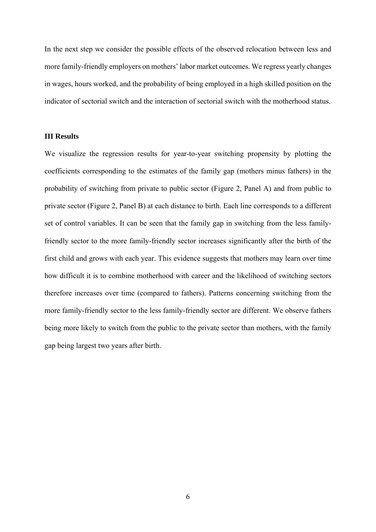In the next step we consider the possible effects of the observed relocation between less and more family-friendly employers on mothers' labor market outcomes. We regress yearly changes in wages, hours worked, and the probability of being employed in a high skilled position on the indicator of sectorial switch and the interaction of sectorial switch with the motherhood status.

### **III Results**

We visualize the regression results for year-to-year switching propensity by plotting the coefficients corresponding to the estimates of the family gap (mothers minus fathers) in the probability of switching from private to public sector (Figure 2, Panel A) and from public to private sector (Figure 2, Panel B) at each distance to birth. Each line corresponds to a different set of control variables. It can be seen that the family gap in switching from the less familyfriendly sector to the more family-friendly sector increases significantly after the birth of the first child and grows with each year. This evidence suggests that mothers may learn over time how difficult it is to combine motherhood with career and the likelihood of switching sectors therefore increases over time (compared to fathers). Patterns concerning switching from the more family-friendly sector to the less family-friendly sector are different. We observe fathers being more likely to switch from the public to the private sector than mothers, with the family gap being largest two years after birth.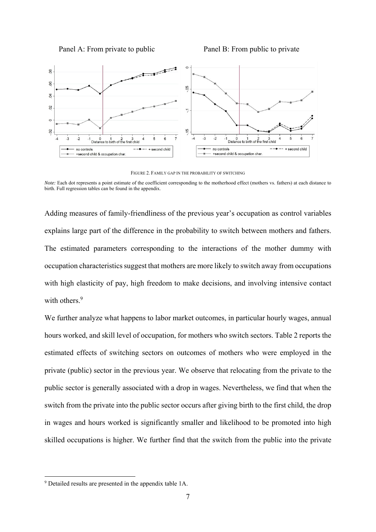



FIGURE 2. FAMILY GAP IN THE PROBABILITY OF SWITCHING

*Note:* Each dot represents a point estimate of the coefficient corresponding to the motherhood effect (mothers vs. fathers) at each distance to birth. Full regression tables can be found in the appendix.

Adding measures of family-friendliness of the previous year's occupation as control variables explains large part of the difference in the probability to switch between mothers and fathers. The estimated parameters corresponding to the interactions of the mother dummy with occupation characteristics suggest that mothers are more likely to switch away from occupations with high elasticity of pay, high freedom to make decisions, and involving intensive contact with others.<sup>9</sup>

We further analyze what happens to labor market outcomes, in particular hourly wages, annual hours worked, and skill level of occupation, for mothers who switch sectors. Table 2 reports the estimated effects of switching sectors on outcomes of mothers who were employed in the private (public) sector in the previous year. We observe that relocating from the private to the public sector is generally associated with a drop in wages. Nevertheless, we find that when the switch from the private into the public sector occurs after giving birth to the first child, the drop in wages and hours worked is significantly smaller and likelihood to be promoted into high skilled occupations is higher. We further find that the switch from the public into the private

 $\overline{\phantom{a}}$ 

<sup>9</sup> Detailed results are presented in the appendix table 1A.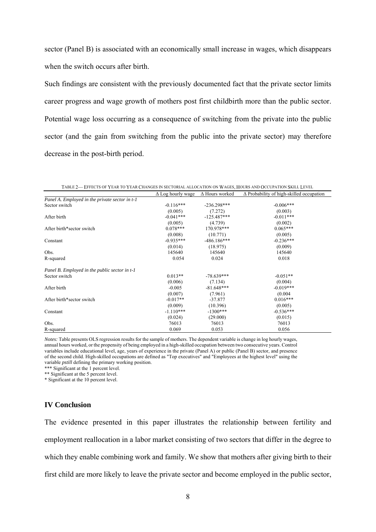sector (Panel B) is associated with an economically small increase in wages, which disappears when the switch occurs after birth.

Such findings are consistent with the previously documented fact that the private sector limits career progress and wage growth of mothers post first childbirth more than the public sector. Potential wage loss occurring as a consequence of switching from the private into the public sector (and the gain from switching from the public into the private sector) may therefore decrease in the post-birth period.

|                                                | $\Delta$ Log hourly wage | $\Delta$ Hours worked | $\Delta$ Probability of high-skilled occupation |
|------------------------------------------------|--------------------------|-----------------------|-------------------------------------------------|
| Panel A. Employed in the private sector in t-1 |                          |                       |                                                 |
| Sector switch                                  | $-0.116***$              | $-236.298***$         | $-0.006***$                                     |
|                                                | (0.005)                  | (7.272)               | (0.003)                                         |
| After birth                                    | $-0.041***$              | $-125.487***$         | $-0.011***$                                     |
|                                                | (0.005)                  | (4.739)               | (0.002)                                         |
| After birth*sector switch                      | $0.078***$               | 170.978***            | $0.065***$                                      |
|                                                | (0.008)                  | (10.771)              | (0.005)                                         |
| Constant                                       | $-0.935***$              | $-486.186***$         | $-0.236***$                                     |
|                                                | (0.014)                  | (18.975)              | (0.009)                                         |
| Obs.                                           | 145640                   | 145640                | 145640                                          |
| R-squared                                      | 0.054                    | 0.024                 | 0.018                                           |
| Panel B. Employed in the public sector in t-1  |                          |                       |                                                 |
| Sector switch                                  | $0.013**$                | $-78.639***$          | $-0.051**$                                      |
|                                                | (0.006)                  | (7.134)               | (0.004)                                         |
| After birth                                    | $-0.005$                 | $-81.648***$          | $-0.019***$                                     |
|                                                | (0.007)                  | (7.961)               | (0.004)                                         |
| After birth*sector switch                      | $-0.017**$               | $-37.877$             | $0.016***$                                      |
|                                                | (0.009)                  | (10.396)              | (0.005)                                         |
| Constant                                       | $-1.110***$              | $-1300***$            | $-0.536***$                                     |
|                                                | (0.024)                  | (29.000)              | (0.015)                                         |
| Obs.                                           | 76013                    | 76013                 | 76013                                           |
| R-squared                                      | 0.069                    | 0.053                 | 0.056                                           |

TABLE 2— EFFECTS OF YEAR TO YEAR CHANGES IN SECTORIAL ALLOCATION ON WAGES, HOURS AND OCCUPATION SKILL LEVEL

*Notes:* Table presents OLS regression results for the sample of mothers. The dependent variable is change in log hourly wages, annual hours worked, or the propensity of being employed in a high-skilled occupation between two consecutive years. Control variables include educational level, age, years of experience in the private (Panel A) or public (Panel B) sector, and presence of the second child. High-skilled occupations are defined as "Top executives" and "Employees at the highest level" using the variable *pstill* defining the primary working position.

\*\*\* Significant at the 1 percent level.

\*\* Significant at the 5 percent level.

\* Significant at the 10 percent level.

### **IV Conclusion**

The evidence presented in this paper illustrates the relationship between fertility and employment reallocation in a labor market consisting of two sectors that differ in the degree to which they enable combining work and family. We show that mothers after giving birth to their first child are more likely to leave the private sector and become employed in the public sector,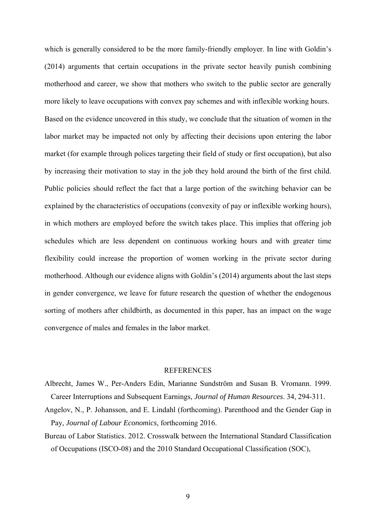which is generally considered to be the more family-friendly employer. In line with Goldin's (2014) arguments that certain occupations in the private sector heavily punish combining motherhood and career, we show that mothers who switch to the public sector are generally more likely to leave occupations with convex pay schemes and with inflexible working hours. Based on the evidence uncovered in this study, we conclude that the situation of women in the labor market may be impacted not only by affecting their decisions upon entering the labor market (for example through polices targeting their field of study or first occupation), but also by increasing their motivation to stay in the job they hold around the birth of the first child. Public policies should reflect the fact that a large portion of the switching behavior can be explained by the characteristics of occupations (convexity of pay or inflexible working hours), in which mothers are employed before the switch takes place. This implies that offering job schedules which are less dependent on continuous working hours and with greater time flexibility could increase the proportion of women working in the private sector during motherhood. Although our evidence aligns with Goldin's (2014) arguments about the last steps in gender convergence, we leave for future research the question of whether the endogenous sorting of mothers after childbirth, as documented in this paper, has an impact on the wage convergence of males and females in the labor market.

#### REFERENCES

- Albrecht, James W., Per-Anders Edin, Marianne Sundström and Susan B. Vromann. 1999. Career Interruptions and Subsequent Earnings, *Journal of Human Resources*. 34, 294-311.
- Angelov, N., P. Johansson, and E. Lindahl (forthcoming). Parenthood and the Gender Gap in Pay, *Journal of Labour Economics*, forthcoming 2016.
- Bureau of Labor Statistics. 2012. Crosswalk between the International Standard Classification of Occupations (ISCO-08) and the 2010 Standard Occupational Classification (SOC),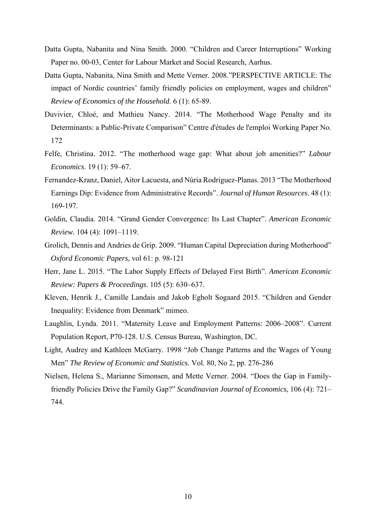- Datta Gupta, Nabanita and Nina Smith. 2000. "Children and Career Interruptions" Working Paper no. 00-03, Center for Labour Market and Social Research, Aarhus.
- Datta Gupta, Nabanita, Nina Smith and Mette Verner. 2008."PERSPECTIVE ARTICLE: The impact of Nordic countries' family friendly policies on employment, wages and children" *Review of Economics of the Household*. 6 (1): 65-89.
- Duvivier, Chloé, and Mathieu Nancy. 2014. "The Motherhood Wage Penalty and its Determinants: a Public-Private Comparison" Centre d'études de l'emploi Working Paper No. 172
- Felfe, Christina. 2012. "The motherhood wage gap: What about job amenities?" *Labour Economics*. 19 (1): 59–67.
- Fernandez-Kranz, Daniel, Aitor Lacuesta, and Núria Rodriguez-Planas. 2013 "The Motherhood Earnings Dip: Evidence from Administrative Records". *Journal of Human Resources*. 48 (1): 169-197.
- Goldin, Claudia. 2014. "Grand Gender Convergence: Its Last Chapter". *American Economic Review.* 104 (4): 1091–1119.
- Grolich, Dennis and Andries de Grip. 2009. "Human Capital Depreciation during Motherhood" *Oxford Economic Papers*, vol 61: p. 98-121
- Herr, Jane L. 2015. "The Labor Supply Effects of Delayed First Birth". *American Economic Review: Papers & Proceedings*. 105 (5): 630–637.
- Kleven, Henrik J., Camille Landais and Jakob Egholt Sogaard 2015. "Children and Gender Inequality: Evidence from Denmark" mimeo.
- Laughlin, Lynda. 2011. "Maternity Leave and Employment Patterns: 2006–2008". Current Population Report, P70-128. U.S. Census Bureau, Washington, DC.
- Light, Audrey and Kathleen McGarry. 1998 "Job Change Patterns and the Wages of Young Men" *The Review of Economic and Statistics*. Vol. 80, No 2, pp. 276-286
- Nielsen, Helena S., Marianne Simonsen, and Mette Verner. 2004. "Does the Gap in Familyfriendly Policies Drive the Family Gap?" *Scandinavian Journal of Economics*, 106 (4): 721– 744.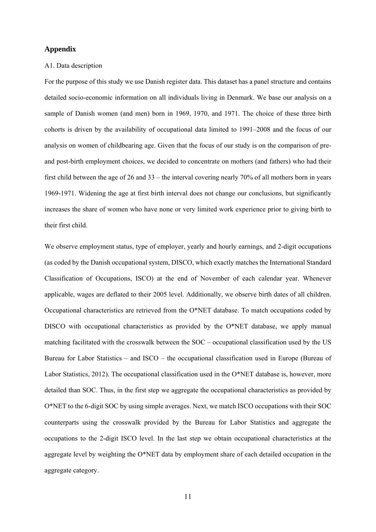### **Appendix**

### A1. Data description

For the purpose of this study we use Danish register data. This dataset has a panel structure and contains detailed socio-economic information on all individuals living in Denmark. We base our analysis on a sample of Danish women (and men) born in 1969, 1970, and 1971. The choice of these three birth cohorts is driven by the availability of occupational data limited to 1991–2008 and the focus of our analysis on women of childbearing age. Given that the focus of our study is on the comparison of preand post-birth employment choices, we decided to concentrate on mothers (and fathers) who had their first child between the age of 26 and 33 – the interval covering nearly 70% of all mothers born in years 1969-1971. Widening the age at first birth interval does not change our conclusions, but significantly increases the share of women who have none or very limited work experience prior to giving birth to their first child.

We observe employment status, type of employer, yearly and hourly earnings, and 2-digit occupations (as coded by the Danish occupational system, DISCO, which exactly matches the International Standard Classification of Occupations, ISCO) at the end of November of each calendar year. Whenever applicable, wages are deflated to their 2005 level. Additionally, we observe birth dates of all children. Occupational characteristics are retrieved from the O\*NET database. To match occupations coded by DISCO with occupational characteristics as provided by the O\*NET database, we apply manual matching facilitated with the crosswalk between the SOC – occupational classification used by the US Bureau for Labor Statistics – and ISCO – the occupational classification used in Europe (Bureau of Labor Statistics, 2012). The occupational classification used in the O\*NET database is, however, more detailed than SOC. Thus, in the first step we aggregate the occupational characteristics as provided by O\*NET to the 6-digit SOC by using simple averages. Next, we match ISCO occupations with their SOC counterparts using the crosswalk provided by the Bureau for Labor Statistics and aggregate the occupations to the 2-digit ISCO level. In the last step we obtain occupational characteristics at the aggregate level by weighting the O\*NET data by employment share of each detailed occupation in the aggregate category.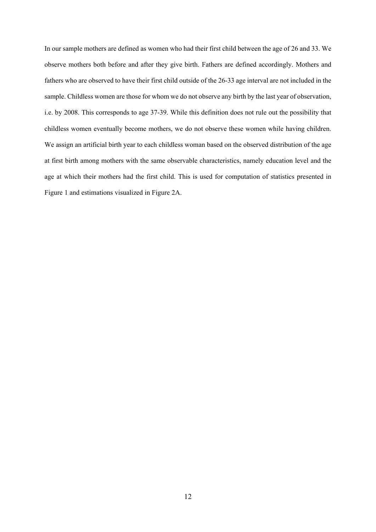In our sample mothers are defined as women who had their first child between the age of 26 and 33. We observe mothers both before and after they give birth. Fathers are defined accordingly. Mothers and fathers who are observed to have their first child outside of the 26-33 age interval are not included in the sample. Childless women are those for whom we do not observe any birth by the last year of observation, i.e. by 2008. This corresponds to age 37-39. While this definition does not rule out the possibility that childless women eventually become mothers, we do not observe these women while having children. We assign an artificial birth year to each childless woman based on the observed distribution of the age at first birth among mothers with the same observable characteristics, namely education level and the age at which their mothers had the first child. This is used for computation of statistics presented in Figure 1 and estimations visualized in Figure 2A.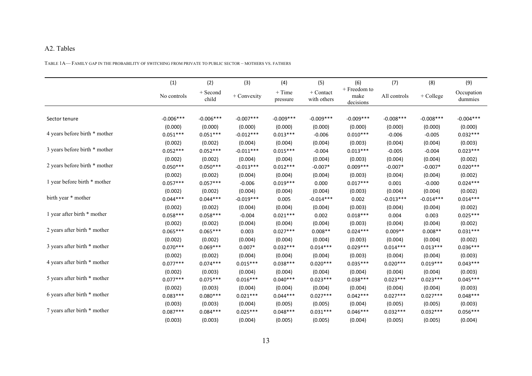#### A2. Tables

TABLE 1A— FAMILY GAP IN THE PROBABILITY OF SWITCHING FROM PRIVATE TO PUBLIC SECTOR – MOTHERS VS. FATHERS

|                               | (1)         | (2)               | (3)         | (4)                  | (5)                               | (6)                               | (7)          | (8)         | (9)                   |
|-------------------------------|-------------|-------------------|-------------|----------------------|-----------------------------------|-----------------------------------|--------------|-------------|-----------------------|
|                               | No controls | + Second<br>child | + Convexity | $+$ Time<br>pressure | $\hbox{+ Contact}$<br>with others | + Freedom to<br>make<br>decisions | All controls | + College   | Occupation<br>dummies |
|                               |             |                   |             |                      |                                   |                                   |              |             |                       |
| Sector tenure                 | $-0.006***$ | $-0.006***$       | $-0.007***$ | $-0.009***$          | $-0.009***$                       | $-0.009***$                       | $-0.008***$  | $-0.008***$ | $-0.004***$           |
|                               | (0.000)     | (0.000)           | (0.000)     | (0.000)              | (0.000)                           | (0.000)                           | (0.000)      | (0.000)     | (0.000)               |
| 4 years before birth * mother | $0.051***$  | $0.051***$        | $-0.012***$ | $0.013***$           | $-0.006$                          | $0.010***$                        | $-0.006$     | $-0.005$    | $0.032***$            |
|                               | (0.002)     | (0.002)           | (0.004)     | (0.004)              | (0.004)                           | (0.003)                           | (0.004)      | (0.004)     | (0.003)               |
| 3 years before birth * mother | $0.052***$  | $0.052***$        | $-0.011***$ | $0.015***$           | $-0.004$                          | $0.013***$                        | $-0.005$     | $-0.004$    | $0.023***$            |
|                               | (0.002)     | (0.002)           | (0.004)     | (0.004)              | (0.004)                           | (0.003)                           | (0.004)      | (0.004)     | (0.002)               |
| 2 years before birth * mother | $0.050***$  | $0.050***$        | $-0.013***$ | $0.012***$           | $-0.007*$                         | $0.009***$                        | $-0.007*$    | $-0.007*$   | $0.020***$            |
|                               | (0.002)     | (0.002)           | (0.004)     | (0.004)              | (0.004)                           | (0.003)                           | (0.004)      | (0.004)     | (0.002)               |
| 1 year before birth * mother  | $0.057***$  | $0.057***$        | $-0.006$    | $0.019***$           | 0.000                             | $0.017***$                        | 0.001        | $-0.000$    | $0.024***$            |
|                               | (0.002)     | (0.002)           | (0.004)     | (0.004)              | (0.004)                           | (0.003)                           | (0.004)      | (0.004)     | (0.002)               |
| birth year * mother           | $0.044***$  | $0.044***$        | $-0.019***$ | 0.005                | $-0.014***$                       | 0.002                             | $-0.013***$  | $-0.014***$ | $0.014***$            |
|                               | (0.002)     | (0.002)           | (0.004)     | (0.004)              | (0.004)                           | (0.003)                           | (0.004)      | (0.004)     | (0.002)               |
| 1 year after birth * mother   | $0.058***$  | $0.058***$        | $-0.004$    | $0.021***$           | 0.002                             | $0.018***$                        | 0.004        | 0.003       | $0.025***$            |
|                               | (0.002)     | (0.002)           | (0.004)     | (0.004)              | (0.004)                           | (0.003)                           | (0.004)      | (0.004)     | (0.002)               |
| 2 years after birth * mother  | $0.065***$  | $0.065***$        | 0.003       | $0.027***$           | $0.008**$                         | $0.024***$                        | $0.009**$    | $0.008**$   | $0.031***$            |
|                               | (0.002)     | (0.002)           | (0.004)     | (0.004)              | (0.004)                           | (0.003)                           | (0.004)      | (0.004)     | (0.002)               |
| 3 years after birth * mother  | $0.070***$  | $0.069***$        | $0.007*$    | $0.032***$           | $0.014***$                        | $0.029***$                        | $0.014***$   | $0.013***$  | $0.036***$            |
|                               | (0.002)     | (0.002)           | (0.004)     | (0.004)              | (0.004)                           | (0.003)                           | (0.004)      | (0.004)     | (0.003)               |
| 4 years after birth * mother  | $0.077***$  | $0.074***$        | $0.015***$  | $0.038***$           | $0.020***$                        | $0.035***$                        | $0.020***$   | $0.019***$  | $0.043***$            |
|                               | (0.002)     | (0.003)           | (0.004)     | (0.004)              | (0.004)                           | (0.004)                           | (0.004)      | (0.004)     | (0.003)               |
| 5 years after birth * mother  | $0.077***$  | $0.075***$        | $0.016***$  | $0.040***$           | $0.023***$                        | $0.038***$                        | $0.023***$   | $0.023***$  | $0.045***$            |
|                               | (0.002)     | (0.003)           | (0.004)     | (0.004)              | (0.004)                           | (0.004)                           | (0.004)      | (0.004)     | (0.003)               |
| 6 years after birth * mother  | $0.083***$  | $0.080***$        | $0.021***$  | $0.044***$           | $0.027***$                        | $0.042***$                        | $0.027***$   | $0.027***$  | $0.048***$            |
|                               | (0.003)     | (0.003)           | (0.004)     | (0.005)              | (0.005)                           | (0.004)                           | (0.005)      | (0.005)     | (0.003)               |
| 7 years after birth * mother  | $0.087***$  | $0.084***$        | $0.025***$  | $0.048***$           | $0.031***$                        | $0.046***$                        | $0.032***$   | $0.032***$  | $0.056***$            |
|                               | (0.003)     | (0.003)           | (0.004)     | (0.005)              | (0.005)                           | (0.004)                           | (0.005)      | (0.005)     | (0.004)               |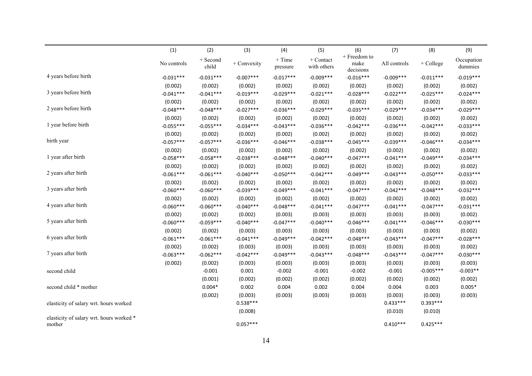|                                          | (1)         | (2)                 | (3)          | (4)                  | (5)                        | (6)                               | (7)          | (8)         | (9)                   |
|------------------------------------------|-------------|---------------------|--------------|----------------------|----------------------------|-----------------------------------|--------------|-------------|-----------------------|
|                                          | No controls | $+$ Second<br>child | + Convexity  | $+$ Time<br>pressure | $+$ Contact<br>with others | + Freedom to<br>make<br>decisions | All controls | + College   | Occupation<br>dummies |
| 4 years before birth                     | $-0.031***$ | $-0.031***$         | $-0.007$ *** | $-0.017***$          | $-0.009***$                | $-0.016***$                       | $-0.009***$  | $-0.011***$ | $-0.019***$           |
|                                          | (0.002)     | (0.002)             | (0.002)      | (0.002)              | (0.002)                    | (0.002)                           | (0.002)      | (0.002)     | (0.002)               |
| 3 years before birth                     | $-0.041***$ | $-0.041***$         | $-0.019***$  | $-0.029***$          | $-0.021***$                | $-0.028***$                       | $-0.022***$  | $-0.025***$ | $-0.024***$           |
|                                          | (0.002)     | (0.002)             | (0.002)      | (0.002)              | (0.002)                    | (0.002)                           | (0.002)      | (0.002)     | (0.002)               |
| 2 years before birth                     | $-0.048***$ | $-0.048***$         | $-0.027***$  | $-0.036***$          | $-0.029***$                | $-0.035***$                       | $-0.029***$  | $-0.034***$ | $-0.029***$           |
|                                          | (0.002)     | (0.002)             | (0.002)      | (0.002)              | (0.002)                    | (0.002)                           | (0.002)      | (0.002)     | (0.002)               |
| 1 year before birth                      | $-0.055***$ | $-0.055***$         | $-0.034***$  | $-0.043***$          | $-0.036***$                | $-0.042***$                       | $-0.036***$  | $-0.042***$ | $-0.033***$           |
|                                          | (0.002)     | (0.002)             | (0.002)      | (0.002)              | (0.002)                    | (0.002)                           | (0.002)      | (0.002)     | (0.002)               |
| birth year                               | $-0.057***$ | $-0.057***$         | $-0.036***$  | $-0.046***$          | $-0.038***$                | $-0.045***$                       | $-0.039***$  | $-0.046***$ | $-0.034***$           |
|                                          | (0.002)     | (0.002)             | (0.002)      | (0.002)              | (0.002)                    | (0.002)                           | (0.002)      | (0.002)     | (0.002)               |
| 1 year after birth                       | $-0.058***$ | $-0.058***$         | $-0.038***$  | $-0.048***$          | $-0.040***$                | $-0.047***$                       | $-0.041***$  | $-0.049***$ | $-0.034***$           |
|                                          | (0.002)     | (0.002)             | (0.002)      | (0.002)              | (0.002)                    | (0.002)                           | (0.002)      | (0.002)     | (0.002)               |
| 2 years after birth                      | $-0.061***$ | $-0.061***$         | $-0.040***$  | $-0.050***$          | $-0.042***$                | $-0.049***$                       | $-0.043***$  | $-0.050***$ | $-0.033***$           |
|                                          | (0.002)     | (0.002)             | (0.002)      | (0.002)              | (0.002)                    | (0.002)                           | (0.002)      | (0.002)     | (0.002)               |
| 3 years after birth                      | $-0.060***$ | $-0.060***$         | $-0.039***$  | $-0.049***$          | $-0.041***$                | $-0.047***$                       | $-0.042***$  | $-0.048***$ | $-0.032***$           |
|                                          | (0.002)     | (0.002)             | (0.002)      | (0.002)              | (0.002)                    | (0.002)                           | (0.002)      | (0.002)     | (0.002)               |
| 4 years after birth                      | $-0.060***$ | $-0.060***$         | $-0.040***$  | $-0.048***$          | $-0.041***$                | $-0.047***$                       | $-0.041***$  | $-0.047***$ | $-0.031***$           |
|                                          | (0.002)     | (0.002)             | (0.002)      | (0.003)              | (0.003)                    | (0.003)                           | (0.003)      | (0.003)     | (0.002)               |
| 5 years after birth                      | $-0.060***$ | $-0.059***$         | $-0.040***$  | $-0.047***$          | $-0.040***$                | $-0.046***$                       | $-0.041***$  | $-0.046***$ | $-0.030***$           |
|                                          | (0.002)     | (0.002)             | (0.003)      | (0.003)              | (0.003)                    | (0.003)                           | (0.003)      | (0.003)     | (0.002)               |
| 6 years after birth                      | $-0.061***$ | $-0.061***$         | $-0.041***$  | $-0.049***$          | $-0.042***$                | $-0.048***$                       | $-0.043***$  | $-0.047***$ | $-0.028***$           |
|                                          | (0.002)     | (0.002)             | (0.003)      | (0.003)              | (0.003)                    | (0.003)                           | (0.003)      | (0.003)     | (0.002)               |
| 7 years after birth                      | $-0.063***$ | $-0.062***$         | $-0.042***$  | $-0.049***$          | $-0.043***$                | $-0.048***$                       | $-0.043***$  | $-0.047***$ | $-0.030***$           |
|                                          | (0.002)     | (0.002)             | (0.003)      | (0.003)              | (0.003)                    | (0.003)                           | (0.003)      | (0.003)     | (0.003)               |
| second child                             |             | $-0.001$            | 0.001        | $-0.002$             | $-0.001$                   | $-0.002$                          | $-0.001$     | $-0.005***$ | $-0.003**$            |
|                                          |             | (0.001)             | (0.002)      | (0.002)              | (0.002)                    | (0.002)                           | (0.002)      | (0.002)     | (0.002)               |
| second child * mother                    |             | $0.004*$            | 0.002        | 0.004                | 0.002                      | 0.004                             | 0.004        | 0.003       | $0.005*$              |
|                                          |             | (0.002)             | (0.003)      | (0.003)              | (0.003)                    | (0.003)                           | (0.003)      | (0.003)     | (0.003)               |
| elasticity of salary wrt. hours worked   |             |                     | $0.538***$   |                      |                            |                                   | $0.433***$   | 0.393***    |                       |
|                                          |             |                     | (0.008)      |                      |                            |                                   | (0.010)      | (0.010)     |                       |
| elasticity of salary wrt. hours worked * |             |                     |              |                      |                            |                                   |              |             |                       |
| mother                                   |             |                     | $0.057***$   |                      |                            |                                   | $0.410***$   | $0.425***$  |                       |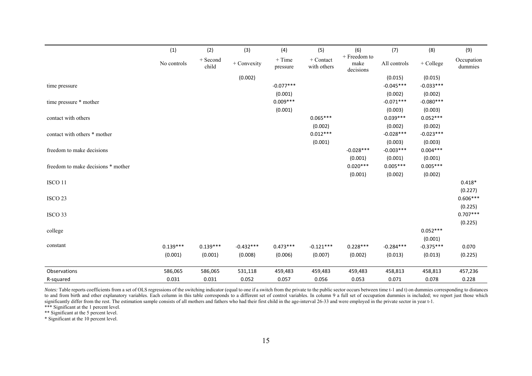|                                    | (1)         | (2)                 | (3)         | (4)                  | (5)                      | (6)                               | (7)          | (8)         | (9)                   |
|------------------------------------|-------------|---------------------|-------------|----------------------|--------------------------|-----------------------------------|--------------|-------------|-----------------------|
|                                    | No controls | $+$ Second<br>child | + Convexity | $+$ Time<br>pressure | + Contact<br>with others | + Freedom to<br>make<br>decisions | All controls | $+$ College | Occupation<br>dummies |
|                                    |             |                     | (0.002)     |                      |                          |                                   | (0.015)      | (0.015)     |                       |
| time pressure                      |             |                     |             | $-0.077***$          |                          |                                   | $-0.045***$  | $-0.033***$ |                       |
|                                    |             |                     |             | (0.001)              |                          |                                   | (0.002)      | (0.002)     |                       |
| time pressure * mother             |             |                     |             | $0.009***$           |                          |                                   | $-0.071***$  | $-0.080***$ |                       |
|                                    |             |                     |             | (0.001)              |                          |                                   | (0.003)      | (0.003)     |                       |
| contact with others                |             |                     |             |                      | $0.065***$               |                                   | $0.039***$   | $0.052***$  |                       |
|                                    |             |                     |             |                      | (0.002)                  |                                   | (0.002)      | (0.002)     |                       |
| contact with others * mother       |             |                     |             |                      | $0.012***$               |                                   | $-0.028***$  | $-0.023***$ |                       |
|                                    |             |                     |             |                      | (0.001)                  |                                   | (0.003)      | (0.003)     |                       |
| freedom to make decisions          |             |                     |             |                      |                          | $-0.028***$                       | $-0.003***$  | $0.004***$  |                       |
|                                    |             |                     |             |                      |                          | (0.001)                           | (0.001)      | (0.001)     |                       |
| freedom to make decisions * mother |             |                     |             |                      |                          | $0.020***$                        | $0.005***$   | $0.005***$  |                       |
|                                    |             |                     |             |                      |                          | (0.001)                           | (0.002)      | (0.002)     |                       |
| ISCO <sub>11</sub>                 |             |                     |             |                      |                          |                                   |              |             | $0.418*$              |
|                                    |             |                     |             |                      |                          |                                   |              |             | (0.227)               |
| ISCO <sub>23</sub>                 |             |                     |             |                      |                          |                                   |              |             | $0.606***$            |
|                                    |             |                     |             |                      |                          |                                   |              |             | (0.225)               |
| ISCO 33                            |             |                     |             |                      |                          |                                   |              |             | $0.707***$            |
|                                    |             |                     |             |                      |                          |                                   |              |             | (0.225)               |
| college                            |             |                     |             |                      |                          |                                   |              | $0.052***$  |                       |
|                                    |             |                     |             |                      |                          |                                   |              | (0.001)     |                       |
| constant                           | $0.139***$  | $0.139***$          | $-0.432***$ | $0.473***$           | $-0.121***$              | $0.228***$                        | $-0.284***$  | $-0.375***$ | 0.070                 |
|                                    | (0.001)     | (0.001)             | (0.008)     | (0.006)              | (0.007)                  | (0.002)                           | (0.013)      | (0.013)     | (0.225)               |
| Observations                       | 586,065     | 586,065             | 531,118     | 459,483              | 459,483                  | 459,483                           | 458,813      | 458,813     | 457,236               |
| R-squared                          | 0.031       | 0.031               | 0.052       | 0.057                | 0.056                    | 0.053                             | 0.071        | 0.078       | 0.228                 |

*Notes:* Table reports coefficients from a set of OLS regressions of the switching indicator (equal to one if a switch from the private to the public sector occurs between time t-1 and t) on dummies corresponding to distan to and from birth and other explanatory variables. Each column in this table corresponds to a different set of control variables. In column 9 a full set of occupation dummies is included; we report just those which significantly differ from the rest. The estimation sample consists of all mothers and fathers who had their first child in the age-interval 26-33 and were employed in the private sector in year t-1.

\*\*\* Significant at the 1 percent level.

\*\* Significant at the 5 percent level.

\* Significant at the 10 percent level.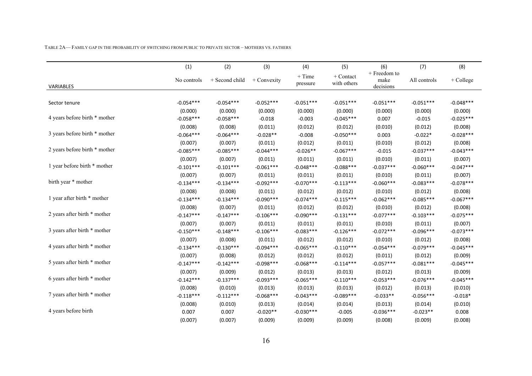|  |  |  |  |  |  |  |  | TABLE 2A— FAMILY GAP IN THE PROBABILITY OF SWITCHING FROM PUBLIC TO PRIVATE SECTOR – MOTHERS VS. FATHERS |  |  |  |  |  |  |  |  |  |  |  |  |
|--|--|--|--|--|--|--|--|----------------------------------------------------------------------------------------------------------|--|--|--|--|--|--|--|--|--|--|--|--|
|--|--|--|--|--|--|--|--|----------------------------------------------------------------------------------------------------------|--|--|--|--|--|--|--|--|--|--|--|--|

|                               | (1)         | (2)            | (3)         | (4)                  | (5)                        | (6)                               | (7)          | (8)         |
|-------------------------------|-------------|----------------|-------------|----------------------|----------------------------|-----------------------------------|--------------|-------------|
| VARIABLES                     | No controls | + Second child | + Convexity | $+$ Time<br>pressure | $+$ Contact<br>with others | + Freedom to<br>make<br>decisions | All controls | + College   |
|                               |             |                |             |                      |                            |                                   |              |             |
| Sector tenure                 | $-0.054***$ | $-0.054***$    | $-0.052***$ | $-0.051***$          | $-0.051***$                | $-0.051***$                       | $-0.051***$  | $-0.048***$ |
|                               | (0.000)     | (0.000)        | (0.000)     | (0.000)              | (0.000)                    | (0.000)                           | (0.000)      | (0.000)     |
| 4 years before birth * mother | $-0.058***$ | $-0.058***$    | $-0.018$    | $-0.003$             | $-0.045***$                | 0.007                             | $-0.015$     | $-0.025***$ |
|                               | (0.008)     | (0.008)        | (0.011)     | (0.012)              | (0.012)                    | (0.010)                           | (0.012)      | (0.008)     |
| 3 years before birth * mother | $-0.064***$ | $-0.064***$    | $-0.028**$  | $-0.008$             | $-0.050***$                | 0.003                             | $-0.022*$    | $-0.028***$ |
|                               | (0.007)     | (0.007)        | (0.011)     | (0.012)              | (0.011)                    | (0.010)                           | (0.012)      | (0.008)     |
| 2 years before birth * mother | $-0.085***$ | $-0.085***$    | $-0.044***$ | $-0.026**$           | $-0.067***$                | $-0.015$                          | $-0.037***$  | $-0.043***$ |
|                               | (0.007)     | (0.007)        | (0.011)     | (0.011)              | (0.011)                    | (0.010)                           | (0.011)      | (0.007)     |
| 1 year before birth * mother  | $-0.101***$ | $-0.101***$    | $-0.061***$ | $-0.048***$          | $-0.088***$                | $-0.037***$                       | $-0.060***$  | $-0.047***$ |
|                               | (0.007)     | (0.007)        | (0.011)     | (0.011)              | (0.011)                    | (0.010)                           | (0.011)      | (0.007)     |
| birth year * mother           | $-0.134***$ | $-0.134***$    | $-0.092***$ | $-0.070***$          | $-0.113***$                | $-0.060***$                       | $-0.083***$  | $-0.078***$ |
|                               | (0.008)     | (0.008)        | (0.011)     | (0.012)              | (0.012)                    | (0.010)                           | (0.012)      | (0.008)     |
| 1 year after birth * mother   | $-0.134***$ | $-0.134***$    | $-0.090***$ | $-0.074***$          | $-0.115***$                | $-0.062***$                       | $-0.085***$  | $-0.067***$ |
|                               | (0.008)     | (0.007)        | (0.011)     | (0.012)              | (0.012)                    | (0.010)                           | (0.012)      | (0.008)     |
| 2 years after birth * mother  | $-0.147***$ | $-0.147***$    | $-0.106***$ | $-0.090***$          | $-0.131***$                | $-0.077***$                       | $-0.103***$  | $-0.075***$ |
|                               | (0.007)     | (0.007)        | (0.011)     | (0.011)              | (0.011)                    | (0.010)                           | (0.011)      | (0.007)     |
| 3 years after birth * mother  | $-0.150***$ | $-0.148***$    | $-0.106***$ | $-0.083***$          | $-0.126***$                | $-0.072***$                       | $-0.096***$  | $-0.073***$ |
|                               | (0.007)     | (0.008)        | (0.011)     | (0.012)              | (0.012)                    | (0.010)                           | (0.012)      | (0.008)     |
| 4 years after birth * mother  | $-0.134***$ | $-0.130***$    | $-0.094***$ | $-0.065***$          | $-0.110***$                | $-0.054***$                       | $-0.079***$  | $-0.045***$ |
|                               | (0.007)     | (0.008)        | (0.012)     | (0.012)              | (0.012)                    | (0.011)                           | (0.012)      | (0.009)     |
| 5 years after birth * mother  | $-0.147***$ | $-0.142***$    | $-0.098***$ | $-0.068***$          | $-0.114***$                | $-0.057***$                       | $-0.081***$  | $-0.045***$ |
|                               | (0.007)     | (0.009)        | (0.012)     | (0.013)              | (0.013)                    | (0.012)                           | (0.013)      | (0.009)     |
| 6 years after birth * mother  | $-0.142***$ | $-0.137***$    | $-0.093***$ | $-0.065***$          | $-0.110***$                | $-0.053***$                       | $-0.076***$  | $-0.045***$ |
|                               | (0.008)     | (0.010)        | (0.013)     | (0.013)              | (0.013)                    | (0.012)                           | (0.013)      | (0.010)     |
| 7 years after birth * mother  | $-0.118***$ | $-0.112***$    | $-0.068***$ | $-0.043***$          | $-0.089***$                | $-0.033**$                        | $-0.056***$  | $-0.018*$   |
|                               | (0.008)     | (0.010)        | (0.013)     | (0.014)              | (0.014)                    | (0.013)                           | (0.014)      | (0.010)     |
| 4 years before birth          | 0.007       | 0.007          | $-0.020**$  | $-0.030***$          | $-0.005$                   | $-0.036***$                       | $-0.023**$   | 0.008       |
|                               | (0.007)     | (0.007)        | (0.009)     | (0.009)              | (0.009)                    | (0.008)                           | (0.009)      | (0.008)     |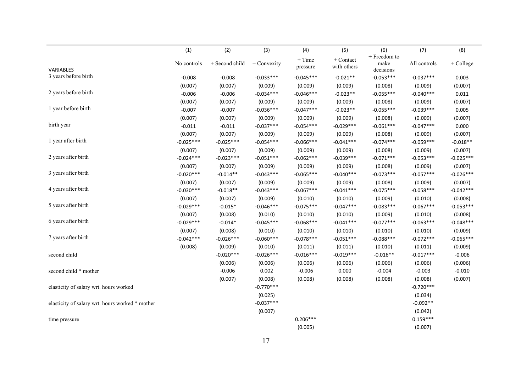|                                                 | (1)         | (2)            | (3)         | (4)         | (5)         | (6)                  | (7)          | (8)         |
|-------------------------------------------------|-------------|----------------|-------------|-------------|-------------|----------------------|--------------|-------------|
|                                                 | No controls | + Second child | + Convexity | $+$ Time    | + Contact   | + Freedom to<br>make | All controls | + College   |
| <b>VARIABLES</b>                                |             |                |             | pressure    | with others | decisions            |              |             |
| 3 years before birth                            | $-0.008$    | $-0.008$       | $-0.033***$ | $-0.045***$ | $-0.021**$  | $-0.053***$          | $-0.037***$  | 0.003       |
|                                                 | (0.007)     | (0.007)        | (0.009)     | (0.009)     | (0.009)     | (0.008)              | (0.009)      | (0.007)     |
| 2 years before birth                            | $-0.006$    | $-0.006$       | $-0.034***$ | $-0.046***$ | $-0.023**$  | $-0.055***$          | $-0.040***$  | 0.011       |
|                                                 | (0.007)     | (0.007)        | (0.009)     | (0.009)     | (0.009)     | (0.008)              | (0.009)      | (0.007)     |
| 1 year before birth                             | $-0.007$    | $-0.007$       | $-0.036***$ | $-0.047***$ | $-0.023**$  | $-0.055***$          | $-0.039***$  | 0.005       |
|                                                 | (0.007)     | (0.007)        | (0.009)     | (0.009)     | (0.009)     | (0.008)              | (0.009)      | (0.007)     |
| birth year                                      | $-0.011$    | $-0.011$       | $-0.037***$ | $-0.054***$ | $-0.029***$ | $-0.061***$          | $-0.047***$  | 0.000       |
|                                                 | (0.007)     | (0.007)        | (0.009)     | (0.009)     | (0.009)     | (0.008)              | (0.009)      | (0.007)     |
| 1 year after birth                              | $-0.025***$ | $-0.025***$    | $-0.054***$ | $-0.066***$ | $-0.041***$ | $-0.074***$          | $-0.059***$  | $-0.018**$  |
|                                                 | (0.007)     | (0.007)        | (0.009)     | (0.009)     | (0.009)     | (0.008)              | (0.009)      | (0.007)     |
| 2 years after birth                             | $-0.024***$ | $-0.023***$    | $-0.051***$ | $-0.062***$ | $-0.039***$ | $-0.071***$          | $-0.053***$  | $-0.025***$ |
|                                                 | (0.007)     | (0.007)        | (0.009)     | (0.009)     | (0.009)     | (0.008)              | (0.009)      | (0.007)     |
| 3 years after birth                             | $-0.020***$ | $-0.014**$     | $-0.043***$ | $-0.065***$ | $-0.040***$ | $-0.073***$          | $-0.057***$  | $-0.026***$ |
|                                                 | (0.007)     | (0.007)        | (0.009)     | (0.009)     | (0.009)     | (0.008)              | (0.009)      | (0.007)     |
| 4 years after birth                             | $-0.030***$ | $-0.018**$     | $-0.043***$ | $-0.067***$ | $-0.041***$ | $-0.075***$          | $-0.058***$  | $-0.042***$ |
|                                                 | (0.007)     | (0.007)        | (0.009)     | (0.010)     | (0.010)     | (0.009)              | (0.010)      | (0.008)     |
| 5 years after birth                             | $-0.029***$ | $-0.015*$      | $-0.046***$ | $-0.075***$ | $-0.047***$ | $-0.083***$          | $-0.067***$  | $-0.053***$ |
|                                                 | (0.007)     | (0.008)        | (0.010)     | (0.010)     | (0.010)     | (0.009)              | (0.010)      | (0.008)     |
| 6 years after birth                             | $-0.029***$ | $-0.014*$      | $-0.045***$ | $-0.068***$ | $-0.041***$ | $-0.077***$          | $-0.063***$  | $-0.048***$ |
|                                                 | (0.007)     | (0.008)        | (0.010)     | (0.010)     | (0.010)     | (0.010)              | (0.010)      | (0.009)     |
| 7 years after birth                             | $-0.042***$ | $-0.026***$    | $-0.060***$ | $-0.078***$ | $-0.051***$ | $-0.088***$          | $-0.072***$  | $-0.065***$ |
|                                                 | (0.008)     | (0.009)        | (0.010)     | (0.011)     | (0.011)     | (0.010)              | (0.011)      | (0.009)     |
| second child                                    |             | $-0.020***$    | $-0.026***$ | $-0.016***$ | $-0.019***$ | $-0.016**$           | $-0.017***$  | $-0.006$    |
|                                                 |             | (0.006)        | (0.006)     | (0.006)     | (0.006)     | (0.006)              | (0.006)      | (0.006)     |
| second child * mother                           |             | $-0.006$       | 0.002       | $-0.006$    | 0.000       | $-0.004$             | $-0.003$     | $-0.010$    |
|                                                 |             | (0.007)        | (0.008)     | (0.008)     | (0.008)     | (0.008)              | (0.008)      | (0.007)     |
| elasticity of salary wrt. hours worked          |             |                | $-0.770***$ |             |             |                      | $-0.720***$  |             |
|                                                 |             |                | (0.025)     |             |             |                      | (0.034)      |             |
| elasticity of salary wrt. hours worked * mother |             |                | $-0.037***$ |             |             |                      | $-0.092**$   |             |
|                                                 |             |                | (0.007)     |             |             |                      | (0.042)      |             |
| time pressure                                   |             |                |             | $0.206***$  |             |                      | $0.159***$   |             |
|                                                 |             |                |             | (0.005)     |             |                      | (0.007)      |             |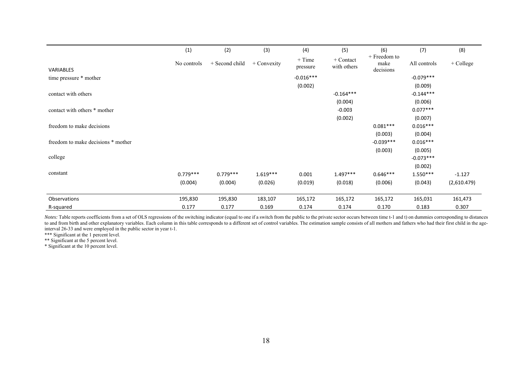|                                    | (1)         | (2)            | (3)           | (4)                  | (5)                        | (6)                               | (7)          | (8)         |
|------------------------------------|-------------|----------------|---------------|----------------------|----------------------------|-----------------------------------|--------------|-------------|
| VARIABLES                          | No controls | + Second child | $+$ Convexity | $+$ Time<br>pressure | $+$ Contact<br>with others | + Freedom to<br>make<br>decisions | All controls | + College   |
| time pressure * mother             |             |                |               | $-0.016***$          |                            |                                   | $-0.079***$  |             |
|                                    |             |                |               | (0.002)              |                            |                                   | (0.009)      |             |
| contact with others                |             |                |               |                      | $-0.164***$                |                                   | $-0.144***$  |             |
|                                    |             |                |               |                      | (0.004)                    |                                   | (0.006)      |             |
| contact with others * mother       |             |                |               |                      | $-0.003$                   |                                   | $0.077***$   |             |
|                                    |             |                |               |                      | (0.002)                    |                                   | (0.007)      |             |
| freedom to make decisions          |             |                |               |                      |                            | $0.081***$                        | $0.016***$   |             |
|                                    |             |                |               |                      |                            | (0.003)                           | (0.004)      |             |
| freedom to make decisions * mother |             |                |               |                      |                            | $-0.039***$                       | $0.016***$   |             |
|                                    |             |                |               |                      |                            | (0.003)                           | (0.005)      |             |
| college                            |             |                |               |                      |                            |                                   | $-0.073***$  |             |
|                                    |             |                |               |                      |                            |                                   | (0.002)      |             |
| constant                           | $0.779***$  | $0.779***$     | $1.619***$    | 0.001                | $1.497***$                 | $0.646***$                        | $1.550***$   | $-1.127$    |
|                                    | (0.004)     | (0.004)        | (0.026)       | (0.019)              | (0.018)                    | (0.006)                           | (0.043)      | (2,610.479) |
| Observations                       | 195,830     | 195,830        | 183,107       | 165,172              | 165,172                    | 165,172                           | 165,031      | 161,473     |
| R-squared                          | 0.177       | 0.177          | 0.169         | 0.174                | 0.174                      | 0.170                             | 0.183        | 0.307       |

*Notes:* Table reports coefficients from a set of OLS regressions of the switching indicator (equal to one if a switch from the public to the private sector occurs between time t-1 and t) on dummies corresponding to distan to and from birth and other explanatory variables. Each column in this table corresponds to a different set of control variables. The estimation sample consists of all mothers and fathers who had their first child in the a interval 26-33 and were employed in the public sector in year t-1.

\*\*\* Significant at the 1 percent level.

\*\* Significant at the 5 percent level.

\* Significant at the 10 percent level.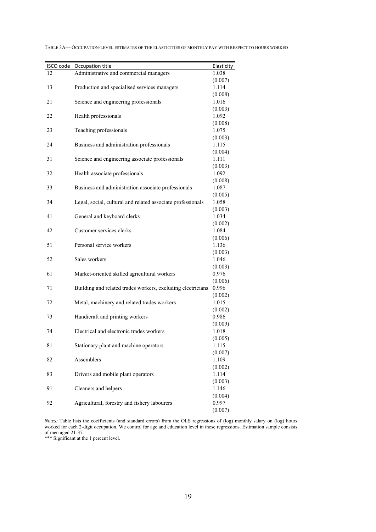| ISCO code | Occupation title                                            | Elasticity       |
|-----------|-------------------------------------------------------------|------------------|
| 12        | Administrative and commercial managers                      | 1.038            |
|           |                                                             | (0.007)          |
| 13        | Production and specialised services managers                | 1.114            |
|           |                                                             | (0.008)          |
| 21        | Science and engineering professionals                       | 1.016            |
|           |                                                             | (0.003)          |
| 22        | Health professionals                                        | 1.092            |
|           |                                                             | (0.008)          |
| 23        | Teaching professionals                                      | 1.075            |
|           |                                                             | (0.003)          |
| 24        | Business and administration professionals                   | 1.115            |
|           |                                                             | (0.004)          |
| 31        | Science and engineering associate professionals             | 1.111<br>(0.003) |
| 32        | Health associate professionals                              | 1.092            |
|           |                                                             | (0.008)          |
| 33        | Business and administration associate professionals         | 1.087            |
|           |                                                             | (0.005)          |
| 34        | Legal, social, cultural and related associate professionals | 1.058            |
|           |                                                             | (0.003)          |
| 41        | General and keyboard clerks                                 | 1.034            |
|           |                                                             | (0.002)          |
| 42        | Customer services clerks                                    | 1.084            |
|           |                                                             | (0.006)          |
| 51        | Personal service workers                                    | 1.136            |
|           |                                                             | (0.003)          |
| 52        | Sales workers                                               | 1.046            |
|           |                                                             | (0.003)          |
| 61        | Market-oriented skilled agricultural workers                | 0.976            |
|           |                                                             | (0.006)          |
| 71        | Building and related trades workers, excluding electricians | 0.996            |
|           |                                                             | (0.002)          |
| 72        | Metal, machinery and related trades workers                 | 1.015<br>(0.002) |
| 73        | Handicraft and printing workers                             | 0.986            |
|           |                                                             | (0.009)          |
| 74        | Electrical and electronic trades workers                    | 1.018            |
|           |                                                             | (0.005)          |
| 81        | Stationary plant and machine operators                      | 1.115            |
|           |                                                             | (0.007)          |
| 82        | Assemblers                                                  | 1.109            |
|           |                                                             | (0.002)          |
| 83        | Drivers and mobile plant operators                          | 1.114            |
|           |                                                             | (0.003)          |
| 91        | Cleaners and helpers                                        | 1.146            |
|           |                                                             | (0.004)          |
| 92        | Agricultural, forestry and fishery labourers                | 0.997            |
|           |                                                             | (0.007)          |

TABLE 3A— OCCUPATION-LEVEL ESTIMATES OF THE ELASTICITIES OF MONTHLY PAY WITH RESPECT TO HOURS WORKED

*Notes:* Table lists the coefficients (and standard errors) from the OLS regressions of (log) monthly salary on (log) hours worked for each 2-digit occupation. We control for age and education level in these regressions. Estimation sample consists of men aged 21-37.

\*\*\* Significant at the 1 percent level.